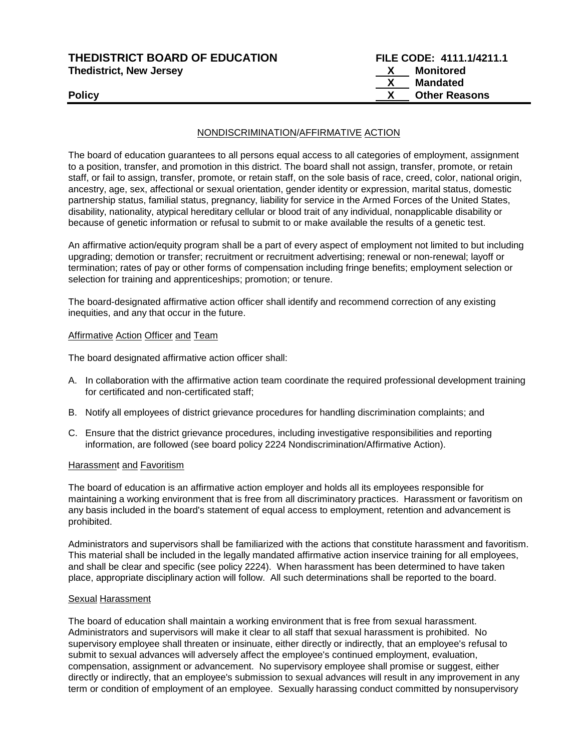| <b>THEDISTRICT BOARD OF EDUCATION</b> |
|---------------------------------------|
| <b>Thedistrict, New Jersey</b>        |

## NONDISCRIMINATION/AFFIRMATIVE ACTION

The board of education guarantees to all persons equal access to all categories of employment, assignment to a position, transfer, and promotion in this district. The board shall not assign, transfer, promote, or retain staff, or fail to assign, transfer, promote, or retain staff, on the sole basis of race, creed, color, national origin, ancestry, age, sex, affectional or sexual orientation, gender identity or expression, marital status, domestic partnership status, familial status, pregnancy, liability for service in the Armed Forces of the United States, disability, nationality, atypical hereditary cellular or blood trait of any individual, nonapplicable disability or because of genetic information or refusal to submit to or make available the results of a genetic test.

An affirmative action/equity program shall be a part of every aspect of employment not limited to but including upgrading; demotion or transfer; recruitment or recruitment advertising; renewal or non-renewal; layoff or termination; rates of pay or other forms of compensation including fringe benefits; employment selection or selection for training and apprenticeships; promotion; or tenure.

The board-designated affirmative action officer shall identify and recommend correction of any existing inequities, and any that occur in the future.

#### Affirmative Action Officer and Team

The board designated affirmative action officer shall:

- A. In collaboration with the affirmative action team coordinate the required professional development training for certificated and non-certificated staff;
- B. Notify all employees of district grievance procedures for handling discrimination complaints; and
- C. Ensure that the district grievance procedures, including investigative responsibilities and reporting information, are followed (see board policy 2224 Nondiscrimination/Affirmative Action).

#### Harassment and Favoritism

The board of education is an affirmative action employer and holds all its employees responsible for maintaining a working environment that is free from all discriminatory practices. Harassment or favoritism on any basis included in the board's statement of equal access to employment, retention and advancement is prohibited.

Administrators and supervisors shall be familiarized with the actions that constitute harassment and favoritism. This material shall be included in the legally mandated affirmative action inservice training for all employees, and shall be clear and specific (see policy 2224). When harassment has been determined to have taken place, appropriate disciplinary action will follow. All such determinations shall be reported to the board.

#### Sexual Harassment

The board of education shall maintain a working environment that is free from sexual harassment. Administrators and supervisors will make it clear to all staff that sexual harassment is prohibited. No supervisory employee shall threaten or insinuate, either directly or indirectly, that an employee's refusal to submit to sexual advances will adversely affect the employee's continued employment, evaluation, compensation, assignment or advancement. No supervisory employee shall promise or suggest, either directly or indirectly, that an employee's submission to sexual advances will result in any improvement in any term or condition of employment of an employee. Sexually harassing conduct committed by nonsupervisory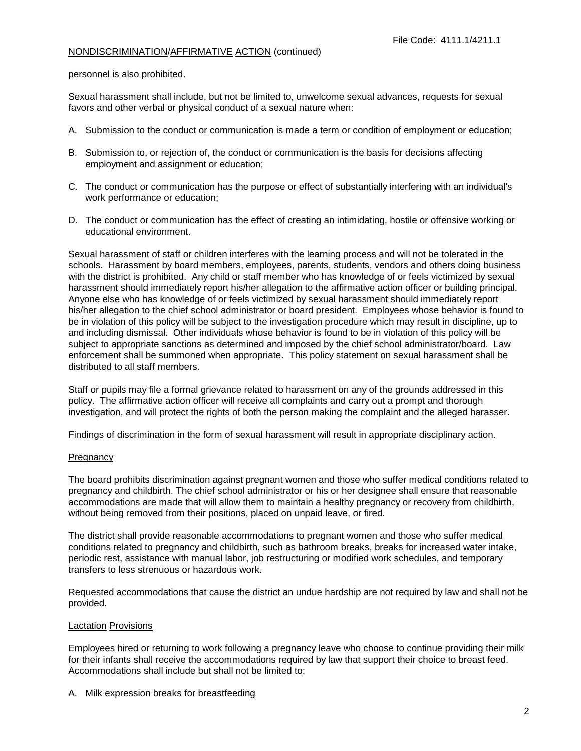personnel is also prohibited.

Sexual harassment shall include, but not be limited to, unwelcome sexual advances, requests for sexual favors and other verbal or physical conduct of a sexual nature when:

- A. Submission to the conduct or communication is made a term or condition of employment or education;
- B. Submission to, or rejection of, the conduct or communication is the basis for decisions affecting employment and assignment or education;
- C. The conduct or communication has the purpose or effect of substantially interfering with an individual's work performance or education;
- D. The conduct or communication has the effect of creating an intimidating, hostile or offensive working or educational environment.

Sexual harassment of staff or children interferes with the learning process and will not be tolerated in the schools. Harassment by board members, employees, parents, students, vendors and others doing business with the district is prohibited. Any child or staff member who has knowledge of or feels victimized by sexual harassment should immediately report his/her allegation to the affirmative action officer or building principal. Anyone else who has knowledge of or feels victimized by sexual harassment should immediately report his/her allegation to the chief school administrator or board president. Employees whose behavior is found to be in violation of this policy will be subject to the investigation procedure which may result in discipline, up to and including dismissal. Other individuals whose behavior is found to be in violation of this policy will be subject to appropriate sanctions as determined and imposed by the chief school administrator/board. Law enforcement shall be summoned when appropriate. This policy statement on sexual harassment shall be distributed to all staff members.

Staff or pupils may file a formal grievance related to harassment on any of the grounds addressed in this policy. The affirmative action officer will receive all complaints and carry out a prompt and thorough investigation, and will protect the rights of both the person making the complaint and the alleged harasser.

Findings of discrimination in the form of sexual harassment will result in appropriate disciplinary action.

## **Pregnancy**

The board prohibits discrimination against pregnant women and those who suffer medical conditions related to pregnancy and childbirth. The chief school administrator or his or her designee shall ensure that reasonable accommodations are made that will allow them to maintain a healthy pregnancy or recovery from childbirth, without being removed from their positions, placed on unpaid leave, or fired.

The district shall provide reasonable accommodations to pregnant women and those who suffer medical conditions related to pregnancy and childbirth, such as bathroom breaks, breaks for increased water intake, periodic rest, assistance with manual labor, job restructuring or modified work schedules, and temporary transfers to less strenuous or hazardous work.

Requested accommodations that cause the district an undue hardship are not required by law and shall not be provided.

### Lactation Provisions

Employees hired or returning to work following a pregnancy leave who choose to continue providing their milk for their infants shall receive the accommodations required by law that support their choice to breast feed. Accommodations shall include but shall not be limited to:

A. Milk expression breaks for breastfeeding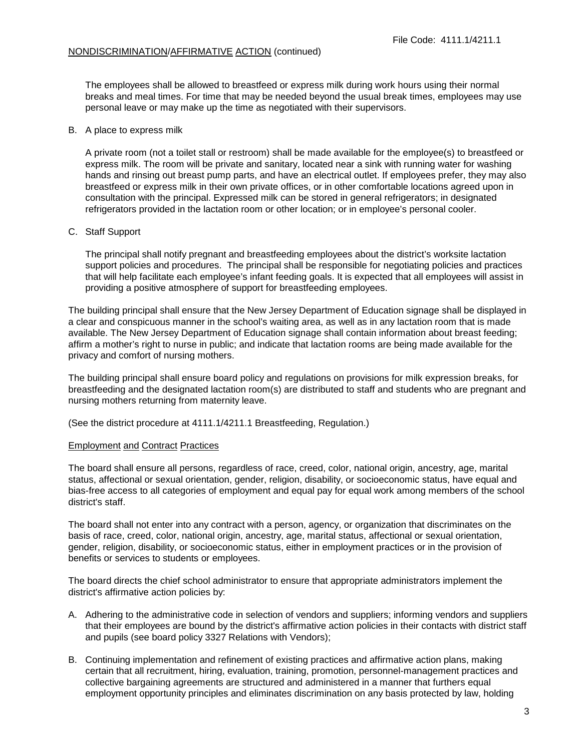The employees shall be allowed to breastfeed or express milk during work hours using their normal breaks and meal times. For time that may be needed beyond the usual break times, employees may use personal leave or may make up the time as negotiated with their supervisors.

#### B. A place to express milk

A private room (not a toilet stall or restroom) shall be made available for the employee(s) to breastfeed or express milk. The room will be private and sanitary, located near a sink with running water for washing hands and rinsing out breast pump parts, and have an electrical outlet. If employees prefer, they may also breastfeed or express milk in their own private offices, or in other comfortable locations agreed upon in consultation with the principal. Expressed milk can be stored in general refrigerators; in designated refrigerators provided in the lactation room or other location; or in employee's personal cooler.

### C. Staff Support

The principal shall notify pregnant and breastfeeding employees about the district's worksite lactation support policies and procedures. The principal shall be responsible for negotiating policies and practices that will help facilitate each employee's infant feeding goals. It is expected that all employees will assist in providing a positive atmosphere of support for breastfeeding employees.

The building principal shall ensure that the New Jersey Department of Education signage shall be displayed in a clear and conspicuous manner in the school's waiting area, as well as in any lactation room that is made available. The New Jersey Department of Education signage shall contain information about breast feeding; affirm a mother's right to nurse in public; and indicate that lactation rooms are being made available for the privacy and comfort of nursing mothers.

The building principal shall ensure board policy and regulations on provisions for milk expression breaks, for breastfeeding and the designated lactation room(s) are distributed to staff and students who are pregnant and nursing mothers returning from maternity leave.

(See the district procedure at 4111.1/4211.1 Breastfeeding, Regulation.)

### Employment and Contract Practices

The board shall ensure all persons, regardless of race, creed, color, national origin, ancestry, age, marital status, affectional or sexual orientation, gender, religion, disability, or socioeconomic status, have equal and bias-free access to all categories of employment and equal pay for equal work among members of the school district's staff.

The board shall not enter into any contract with a person, agency, or organization that discriminates on the basis of race, creed, color, national origin, ancestry, age, marital status, affectional or sexual orientation, gender, religion, disability, or socioeconomic status, either in employment practices or in the provision of benefits or services to students or employees.

The board directs the chief school administrator to ensure that appropriate administrators implement the district's affirmative action policies by:

- A. Adhering to the administrative code in selection of vendors and suppliers; informing vendors and suppliers that their employees are bound by the district's affirmative action policies in their contacts with district staff and pupils (see board policy 3327 Relations with Vendors);
- B. Continuing implementation and refinement of existing practices and affirmative action plans, making certain that all recruitment, hiring, evaluation, training, promotion, personnel-management practices and collective bargaining agreements are structured and administered in a manner that furthers equal employment opportunity principles and eliminates discrimination on any basis protected by law, holding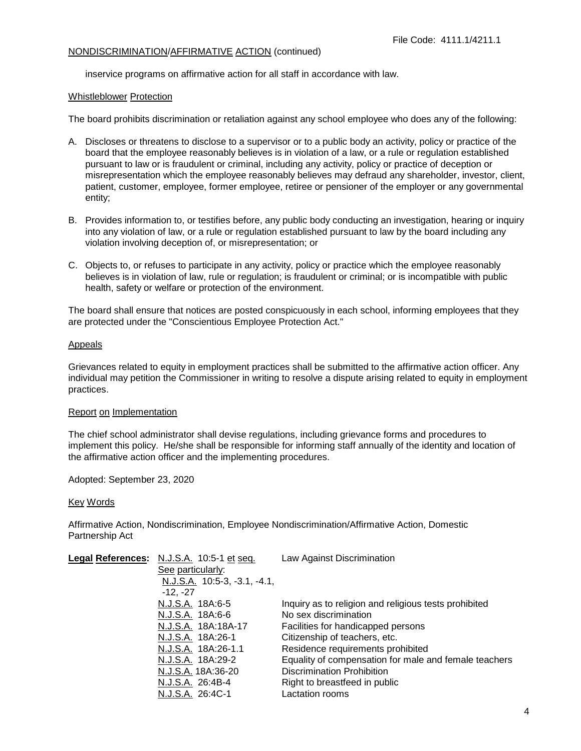inservice programs on affirmative action for all staff in accordance with law.

### Whistleblower Protection

The board prohibits discrimination or retaliation against any school employee who does any of the following:

- A. Discloses or threatens to disclose to a supervisor or to a public body an activity, policy or practice of the board that the employee reasonably believes is in violation of a law, or a rule or regulation established pursuant to law or is fraudulent or criminal, including any activity, policy or practice of deception or misrepresentation which the employee reasonably believes may defraud any shareholder, investor, client, patient, customer, employee, former employee, retiree or pensioner of the employer or any governmental entity;
- B. Provides information to, or testifies before, any public body conducting an investigation, hearing or inquiry into any violation of law, or a rule or regulation established pursuant to law by the board including any violation involving deception of, or misrepresentation; or
- C. Objects to, or refuses to participate in any activity, policy or practice which the employee reasonably believes is in violation of law, rule or regulation; is fraudulent or criminal; or is incompatible with public health, safety or welfare or protection of the environment.

The board shall ensure that notices are posted conspicuously in each school, informing employees that they are protected under the "Conscientious Employee Protection Act."

### Appeals

Grievances related to equity in employment practices shall be submitted to the affirmative action officer. Any individual may petition the Commissioner in writing to resolve a dispute arising related to equity in employment practices.

## Report on Implementation

The chief school administrator shall devise regulations, including grievance forms and procedures to implement this policy. He/she shall be responsible for informing staff annually of the identity and location of the affirmative action officer and the implementing procedures.

Adopted: September 23, 2020

## Key Words

Affirmative Action, Nondiscrimination, Employee Nondiscrimination/Affirmative Action, Domestic Partnership Act

| Legal References: N.J.S.A. 10:5-1 et seq. | Law Against Discrimination                            |
|-------------------------------------------|-------------------------------------------------------|
| See particularly:                         |                                                       |
| $N.J.S.A.$ 10:5-3, -3.1, -4.1,            |                                                       |
| $-12, -27$                                |                                                       |
| N.J.S.A. 18A:6-5                          | Inquiry as to religion and religious tests prohibited |
| N.J.S.A. 18A:6-6                          | No sex discrimination                                 |
| N.J.S.A. 18A:18A-17                       | Facilities for handicapped persons                    |
| N.J.S.A. 18A:26-1                         | Citizenship of teachers, etc.                         |
| N.J.S.A. 18A:26-1.1                       | Residence requirements prohibited                     |
| N.J.S.A. 18A:29-2                         | Equality of compensation for male and female teachers |
| N.J.S.A. 18A:36-20                        | <b>Discrimination Prohibition</b>                     |
| N.J.S.A. 26:4B-4                          | Right to breastfeed in public                         |
| N.J.S.A. 26:4C-1                          | Lactation rooms                                       |